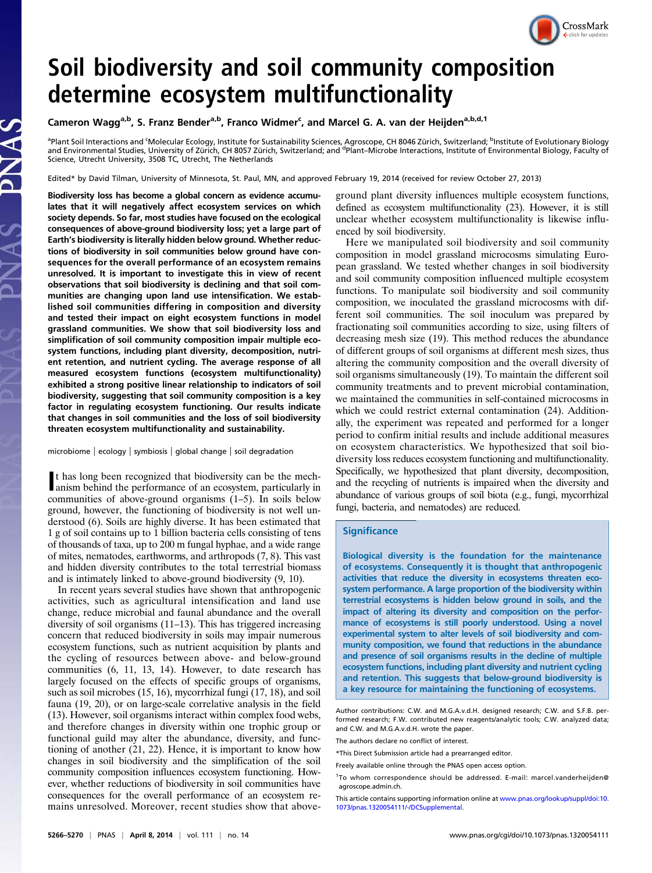

# Soil biodiversity and soil community composition determine ecosystem multifunctionality

## Cameron Wagg<sup>a,b</sup>, S. Franz Bender<sup>a,b</sup>, Franco Widmer<sup>c</sup>, and Marcel G. A. van der Heijden<sup>a,b,d,1</sup>

<sup>a</sup>Plant Soil Interactions and 'Molecular Ecology, Institute for Sustainability Sciences, Agroscope, CH 8046 Zürich, Switzerland; <sup>b</sup>Institute of Evolutionary Biology<br>and Environmental Studies, University of Zürich, CH 805 Science, Utrecht University, 3508 TC, Utrecht, The Netherlands

Edited\* by David Tilman, University of Minnesota, St. Paul, MN, and approved February 19, 2014 (received for review October 27, 2013)

Biodiversity loss has become a global concern as evidence accumulates that it will negatively affect ecosystem services on which society depends. So far, most studies have focused on the ecological consequences of above-ground biodiversity loss; yet a large part of Earth's biodiversity is literally hidden below ground. Whether reductions of biodiversity in soil communities below ground have consequences for the overall performance of an ecosystem remains unresolved. It is important to investigate this in view of recent observations that soil biodiversity is declining and that soil communities are changing upon land use intensification. We established soil communities differing in composition and diversity and tested their impact on eight ecosystem functions in model grassland communities. We show that soil biodiversity loss and simplification of soil community composition impair multiple ecosystem functions, including plant diversity, decomposition, nutrient retention, and nutrient cycling. The average response of all measured ecosystem functions (ecosystem multifunctionality) exhibited a strong positive linear relationship to indicators of soil biodiversity, suggesting that soil community composition is a key factor in regulating ecosystem functioning. Our results indicate that changes in soil communities and the loss of soil biodiversity threaten ecosystem multifunctionality and sustainability.

microbiome | ecology | symbiosis | global change | soil degradation

It has long been recognized that biodiversity can be the mechanism behind the performance of an ecosystem, particularly in t has long been recognized that biodiversity can be the mechcommunities of above-ground organisms (1–5). In soils below ground, however, the functioning of biodiversity is not well understood (6). Soils are highly diverse. It has been estimated that 1 g of soil contains up to 1 billion bacteria cells consisting of tens of thousands of taxa, up to 200 m fungal hyphae, and a wide range of mites, nematodes, earthworms, and arthropods (7, 8). This vast and hidden diversity contributes to the total terrestrial biomass and is intimately linked to above-ground biodiversity (9, 10).

In recent years several studies have shown that anthropogenic activities, such as agricultural intensification and land use change, reduce microbial and faunal abundance and the overall diversity of soil organisms (11–13). This has triggered increasing concern that reduced biodiversity in soils may impair numerous ecosystem functions, such as nutrient acquisition by plants and the cycling of resources between above- and below-ground communities (6, 11, 13, 14). However, to date research has largely focused on the effects of specific groups of organisms, such as soil microbes (15, 16), mycorrhizal fungi (17, 18), and soil fauna (19, 20), or on large-scale correlative analysis in the field (13). However, soil organisms interact within complex food webs, and therefore changes in diversity within one trophic group or functional guild may alter the abundance, diversity, and functioning of another (21, 22). Hence, it is important to know how changes in soil biodiversity and the simplification of the soil community composition influences ecosystem functioning. However, whether reductions of biodiversity in soil communities have consequences for the overall performance of an ecosystem remains unresolved. Moreover, recent studies show that aboveground plant diversity influences multiple ecosystem functions, defined as ecosystem multifunctionality (23). However, it is still unclear whether ecosystem multifunctionality is likewise influenced by soil biodiversity.

Here we manipulated soil biodiversity and soil community composition in model grassland microcosms simulating European grassland. We tested whether changes in soil biodiversity and soil community composition influenced multiple ecosystem functions. To manipulate soil biodiversity and soil community composition, we inoculated the grassland microcosms with different soil communities. The soil inoculum was prepared by fractionating soil communities according to size, using filters of decreasing mesh size (19). This method reduces the abundance of different groups of soil organisms at different mesh sizes, thus altering the community composition and the overall diversity of soil organisms simultaneously (19). To maintain the different soil community treatments and to prevent microbial contamination, we maintained the communities in self-contained microcosms in which we could restrict external contamination (24). Additionally, the experiment was repeated and performed for a longer period to confirm initial results and include additional measures on ecosystem characteristics. We hypothesized that soil biodiversity loss reduces ecosystem functioning and multifunctionality. Specifically, we hypothesized that plant diversity, decomposition, and the recycling of nutrients is impaired when the diversity and abundance of various groups of soil biota (e.g., fungi, mycorrhizal fungi, bacteria, and nematodes) are reduced.

#### **Significance**

Biological diversity is the foundation for the maintenance of ecosystems. Consequently it is thought that anthropogenic activities that reduce the diversity in ecosystems threaten ecosystem performance. A large proportion of the biodiversity within terrestrial ecosystems is hidden below ground in soils, and the impact of altering its diversity and composition on the performance of ecosystems is still poorly understood. Using a novel experimental system to alter levels of soil biodiversity and community composition, we found that reductions in the abundance and presence of soil organisms results in the decline of multiple ecosystem functions, including plant diversity and nutrient cycling and retention. This suggests that below-ground biodiversity is a key resource for maintaining the functioning of ecosystems.

Author contributions: C.W. and M.G.A.v.d.H. designed research; C.W. and S.F.B. performed research; F.W. contributed new reagents/analytic tools; C.W. analyzed data; and C.W. and M.G.A.v.d.H. wrote the paper.

The authors declare no conflict of interest.

<sup>\*</sup>This Direct Submission article had a prearranged editor.

Freely available online through the PNAS open access option.

<sup>1</sup> To whom correspondence should be addressed. E-mail: [marcel.vanderheijden@](mailto:marcel.vanderheijden@agroscope.admin.ch) [agroscope.admin.ch](mailto:marcel.vanderheijden@agroscope.admin.ch).

This article contains supporting information online at [www.pnas.org/lookup/suppl/doi:10.](http://www.pnas.org/lookup/suppl/doi:10.1073/pnas.1320054111/-/DCSupplemental) [1073/pnas.1320054111/-/DCSupplemental.](http://www.pnas.org/lookup/suppl/doi:10.1073/pnas.1320054111/-/DCSupplemental)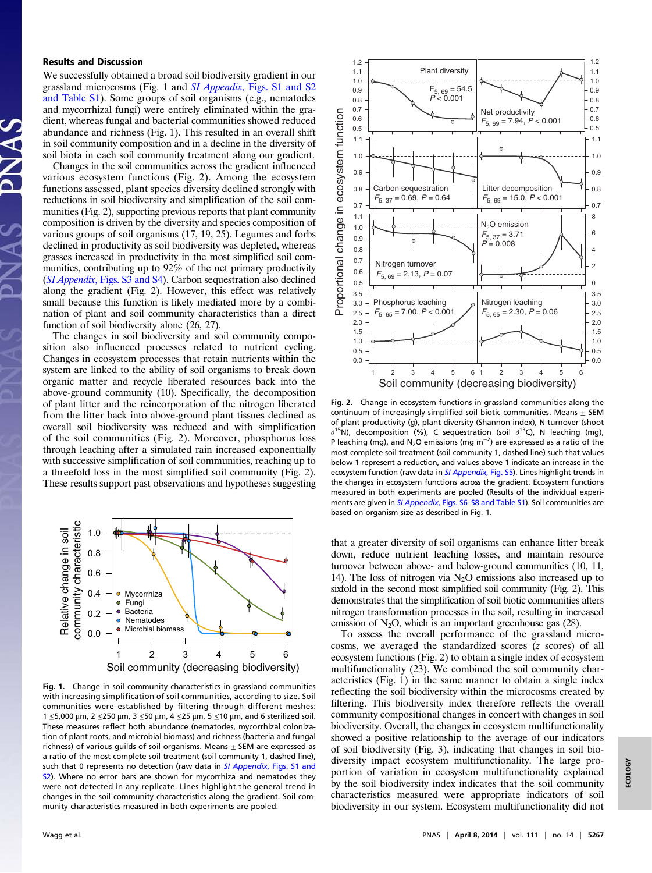### Results and Discussion

We successfully obtained a broad soil biodiversity gradient in our grassland microcosms (Fig. 1 and SI Appendix[, Figs. S1 and S2](http://www.pnas.org/lookup/suppl/doi:10.1073/pnas.1320054111/-/DCSupplemental/sapp.pdf) [and Table S1\)](http://www.pnas.org/lookup/suppl/doi:10.1073/pnas.1320054111/-/DCSupplemental/sapp.pdf). Some groups of soil organisms (e.g., nematodes and mycorrhizal fungi) were entirely eliminated within the gradient, whereas fungal and bacterial communities showed reduced abundance and richness (Fig. 1). This resulted in an overall shift in soil community composition and in a decline in the diversity of soil biota in each soil community treatment along our gradient.

Changes in the soil communities across the gradient influenced various ecosystem functions (Fig. 2). Among the ecosystem functions assessed, plant species diversity declined strongly with reductions in soil biodiversity and simplification of the soil communities (Fig. 2), supporting previous reports that plant community composition is driven by the diversity and species composition of various groups of soil organisms (17, 19, 25). Legumes and forbs declined in productivity as soil biodiversity was depleted, whereas grasses increased in productivity in the most simplified soil communities, contributing up to 92% of the net primary productivity (SI Appendix[, Figs. S3 and S4\)](http://www.pnas.org/lookup/suppl/doi:10.1073/pnas.1320054111/-/DCSupplemental/sapp.pdf). Carbon sequestration also declined along the gradient (Fig. 2). However, this effect was relatively small because this function is likely mediated more by a combination of plant and soil community characteristics than a direct function of soil biodiversity alone (26, 27).

The changes in soil biodiversity and soil community composition also influenced processes related to nutrient cycling. Changes in ecosystem processes that retain nutrients within the system are linked to the ability of soil organisms to break down organic matter and recycle liberated resources back into the above-ground community (10). Specifically, the decomposition of plant litter and the reincorporation of the nitrogen liberated from the litter back into above-ground plant tissues declined as overall soil biodiversity was reduced and with simplification of the soil communities (Fig. 2). Moreover, phosphorus loss through leaching after a simulated rain increased exponentially with successive simplification of soil communities, reaching up to a threefold loss in the most simplified soil community (Fig. 2). These results support past observations and hypotheses suggesting



Fig. 1. Change in soil community characteristics in grassland communities with increasing simplification of soil communities, according to size. Soil communities were established by filtering through different meshes: 1 ≤5,000 μm, 2 ≤250 μm, 3 ≤50 μm, 4 ≤25 μm, 5 ≤10 μm, and 6 sterilized soil. These measures reflect both abundance (nematodes, mycorrhizal colonization of plant roots, and microbial biomass) and richness (bacteria and fungal richness) of various guilds of soil organisms. Means  $\pm$  SEM are expressed as a ratio of the most complete soil treatment (soil community 1, dashed line), such that 0 represents no detection (raw data in SI Appendix[, Figs. S1 and](http://www.pnas.org/lookup/suppl/doi:10.1073/pnas.1320054111/-/DCSupplemental/sapp.pdf) [S2\)](http://www.pnas.org/lookup/suppl/doi:10.1073/pnas.1320054111/-/DCSupplemental/sapp.pdf). Where no error bars are shown for mycorrhiza and nematodes they were not detected in any replicate. Lines highlight the general trend in changes in the soil community characteristics along the gradient. Soil community characteristics measured in both experiments are pooled.



Fig. 2. Change in ecosystem functions in grassland communities along the continuum of increasingly simplified soil biotic communities. Means  $\pm$  SEM of plant productivity (g), plant diversity (Shannon index), N turnover (shoot  $\partial^{15}$ N), decomposition (%), C sequestration (soil  $\partial^{13}$ C), N leaching (mg), P leaching (mg), and N<sub>2</sub>O emissions (mg m<sup>-2</sup>) are expressed as a ratio of the most complete soil treatment (soil community 1, dashed line) such that values below 1 represent a reduction, and values above 1 indicate an increase in the ecosystem function (raw data in *[SI Appendix](http://www.pnas.org/lookup/suppl/doi:10.1073/pnas.1320054111/-/DCSupplemental/sapp.pdf)*, Fig. 55). Lines highlight trends in the changes in ecosystem functions across the gradient. Ecosystem functions measured in both experiments are pooled (Results of the individual experiments are given in [SI Appendix](http://www.pnas.org/lookup/suppl/doi:10.1073/pnas.1320054111/-/DCSupplemental/sapp.pdf), Figs. S6–[S8 and Table S1\)](http://www.pnas.org/lookup/suppl/doi:10.1073/pnas.1320054111/-/DCSupplemental/sapp.pdf). Soil communities are based on organism size as described in Fig. 1.

that a greater diversity of soil organisms can enhance litter break down, reduce nutrient leaching losses, and maintain resource turnover between above- and below-ground communities (10, 11, 14). The loss of nitrogen via  $N_2O$  emissions also increased up to sixfold in the second most simplified soil community (Fig. 2). This demonstrates that the simplification of soil biotic communities alters nitrogen transformation processes in the soil, resulting in increased emission of  $N_2O$ , which is an important greenhouse gas (28).

To assess the overall performance of the grassland microcosms, we averaged the standardized scores (z scores) of all ecosystem functions (Fig. 2) to obtain a single index of ecosystem multifunctionality (23). We combined the soil community characteristics (Fig. 1) in the same manner to obtain a single index reflecting the soil biodiversity within the microcosms created by filtering. This biodiversity index therefore reflects the overall community compositional changes in concert with changes in soil biodiversity. Overall, the changes in ecosystem multifunctionality showed a positive relationship to the average of our indicators of soil biodiversity (Fig. 3), indicating that changes in soil biodiversity impact ecosystem multifunctionality. The large proportion of variation in ecosystem multifunctionality explained by the soil biodiversity index indicates that the soil community characteristics measured were appropriate indicators of soil biodiversity in our system. Ecosystem multifunctionality did not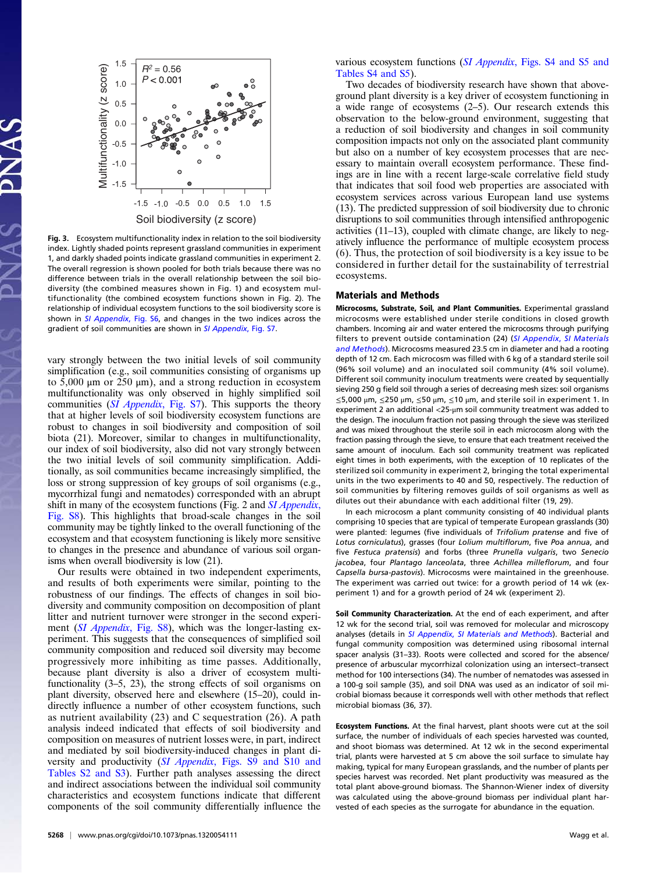

Fig. 3. Ecosystem multifunctionality index in relation to the soil biodiversity index. Lightly shaded points represent grassland communities in experiment 1, and darkly shaded points indicate grassland communities in experiment 2. The overall regression is shown pooled for both trials because there was no difference between trials in the overall relationship between the soil biodiversity (the combined measures shown in Fig. 1) and ecosystem multifunctionality (the combined ecosystem functions shown in Fig. 2). The relationship of individual ecosystem functions to the soil biodiversity score is shown in [SI Appendix](http://www.pnas.org/lookup/suppl/doi:10.1073/pnas.1320054111/-/DCSupplemental/sapp.pdf), Fig. S6, and changes in the two indices across the gradient of soil communities are shown in [SI Appendix](http://www.pnas.org/lookup/suppl/doi:10.1073/pnas.1320054111/-/DCSupplemental/sapp.pdf), Fig. S7.

vary strongly between the two initial levels of soil community simplification (e.g., soil communities consisting of organisms up to 5,000 μm or 250 μm), and a strong reduction in ecosystem multifunctionality was only observed in highly simplified soil communities ([SI Appendix](http://www.pnas.org/lookup/suppl/doi:10.1073/pnas.1320054111/-/DCSupplemental/sapp.pdf), Fig. S7). This supports the theory that at higher levels of soil biodiversity ecosystem functions are robust to changes in soil biodiversity and composition of soil biota (21). Moreover, similar to changes in multifunctionality, our index of soil biodiversity, also did not vary strongly between the two initial levels of soil community simplification. Additionally, as soil communities became increasingly simplified, the loss or strong suppression of key groups of soil organisms (e.g., mycorrhizal fungi and nematodes) corresponded with an abrupt shift in many of the ecosystem functions (Fig. 2 and *[SI Appendix](http://www.pnas.org/lookup/suppl/doi:10.1073/pnas.1320054111/-/DCSupplemental/sapp.pdf)*, [Fig. S8](http://www.pnas.org/lookup/suppl/doi:10.1073/pnas.1320054111/-/DCSupplemental/sapp.pdf)). This highlights that broad-scale changes in the soil community may be tightly linked to the overall functioning of the ecosystem and that ecosystem functioning is likely more sensitive to changes in the presence and abundance of various soil organisms when overall biodiversity is low (21).

Our results were obtained in two independent experiments, and results of both experiments were similar, pointing to the robustness of our findings. The effects of changes in soil biodiversity and community composition on decomposition of plant litter and nutrient turnover were stronger in the second experi-ment ([SI Appendix](http://www.pnas.org/lookup/suppl/doi:10.1073/pnas.1320054111/-/DCSupplemental/sapp.pdf), Fig. S8), which was the longer-lasting experiment. This suggests that the consequences of simplified soil community composition and reduced soil diversity may become progressively more inhibiting as time passes. Additionally, because plant diversity is also a driver of ecosystem multifunctionality (3–5, 23), the strong effects of soil organisms on plant diversity, observed here and elsewhere (15–20), could indirectly influence a number of other ecosystem functions, such as nutrient availability (23) and C sequestration (26). A path analysis indeed indicated that effects of soil biodiversity and composition on measures of nutrient losses were, in part, indirect and mediated by soil biodiversity-induced changes in plant di-versity and productivity (SI Appendix[, Figs. S9 and S10 and](http://www.pnas.org/lookup/suppl/doi:10.1073/pnas.1320054111/-/DCSupplemental/sapp.pdf) [Tables S2 and S3\)](http://www.pnas.org/lookup/suppl/doi:10.1073/pnas.1320054111/-/DCSupplemental/sapp.pdf). Further path analyses assessing the direct and indirect associations between the individual soil community characteristics and ecosystem functions indicate that different components of the soil community differentially influence the

various ecosystem functions (SI Appendix[, Figs. S4 and S5 and](http://www.pnas.org/lookup/suppl/doi:10.1073/pnas.1320054111/-/DCSupplemental/sapp.pdf) [Tables S4 and S5](http://www.pnas.org/lookup/suppl/doi:10.1073/pnas.1320054111/-/DCSupplemental/sapp.pdf)).

Two decades of biodiversity research have shown that aboveground plant diversity is a key driver of ecosystem functioning in a wide range of ecosystems (2–5). Our research extends this observation to the below-ground environment, suggesting that a reduction of soil biodiversity and changes in soil community composition impacts not only on the associated plant community but also on a number of key ecosystem processes that are necessary to maintain overall ecosystem performance. These findings are in line with a recent large-scale correlative field study that indicates that soil food web properties are associated with ecosystem services across various European land use systems (13). The predicted suppression of soil biodiversity due to chronic disruptions to soil communities through intensified anthropogenic activities (11–13), coupled with climate change, are likely to negatively influence the performance of multiple ecosystem process (6). Thus, the protection of soil biodiversity is a key issue to be considered in further detail for the sustainability of terrestrial ecosystems.

#### Materials and Methods

Microcosms, Substrate, Soil, and Plant Communities. Experimental grassland microcosms were established under sterile conditions in closed growth chambers. Incoming air and water entered the microcosms through purifying filters to prevent outside contamination (24) ([SI Appendix](http://www.pnas.org/lookup/suppl/doi:10.1073/pnas.1320054111/-/DCSupplemental/sapp.pdf), SI Materials [and Methods](http://www.pnas.org/lookup/suppl/doi:10.1073/pnas.1320054111/-/DCSupplemental/sapp.pdf)). Microcosms measured 23.5 cm in diameter and had a rooting depth of 12 cm. Each microcosm was filled with 6 kg of a standard sterile soil (96% soil volume) and an inoculated soil community (4% soil volume). Different soil community inoculum treatments were created by sequentially sieving 250 g field soil through a series of decreasing mesh sizes: soil organisms  $\leq$ 5,000 μm,  $\leq$ 250 μm,  $\leq$ 50 μm,  $\leq$ 10 μm, and sterile soil in experiment 1. In experiment 2 an additional <25-μm soil community treatment was added to the design. The inoculum fraction not passing through the sieve was sterilized and was mixed throughout the sterile soil in each microcosm along with the fraction passing through the sieve, to ensure that each treatment received the same amount of inoculum. Each soil community treatment was replicated eight times in both experiments, with the exception of 10 replicates of the sterilized soil community in experiment 2, bringing the total experimental units in the two experiments to 40 and 50, respectively. The reduction of soil communities by filtering removes guilds of soil organisms as well as dilutes out their abundance with each additional filter (19, 29).

In each microcosm a plant community consisting of 40 individual plants comprising 10 species that are typical of temperate European grasslands (30) were planted: legumes (five individuals of Trifolium pratense and five of Lotus corniculatus), grasses (four Lolium multiflorum, five Poa annua, and five Festuca pratensis) and forbs (three Prunella vulgaris, two Senecio jacobea, four Plantago lanceolata, three Achillea milleflorum, and four Capsella bursa-pastovis). Microcosms were maintained in the greenhouse. The experiment was carried out twice: for a growth period of 14 wk (experiment 1) and for a growth period of 24 wk (experiment 2).

Soil Community Characterization. At the end of each experiment, and after 12 wk for the second trial, soil was removed for molecular and microscopy analyses (details in SI Appendix, [SI Materials and Methods](http://www.pnas.org/lookup/suppl/doi:10.1073/pnas.1320054111/-/DCSupplemental/sapp.pdf)). Bacterial and fungal community composition was determined using ribosomal internal spacer analysis (31–33). Roots were collected and scored for the absence/ presence of arbuscular mycorrhizal colonization using an intersect–transect method for 100 intersections (34). The number of nematodes was assessed in a 100-g soil sample (35), and soil DNA was used as an indicator of soil microbial biomass because it corresponds well with other methods that reflect microbial biomass (36, 37).

Ecosystem Functions. At the final harvest, plant shoots were cut at the soil surface, the number of individuals of each species harvested was counted, and shoot biomass was determined. At 12 wk in the second experimental trial, plants were harvested at 5 cm above the soil surface to simulate hay making, typical for many European grasslands, and the number of plants per species harvest was recorded. Net plant productivity was measured as the total plant above-ground biomass. The Shannon-Wiener index of diversity was calculated using the above-ground biomass per individual plant harvested of each species as the surrogate for abundance in the equation.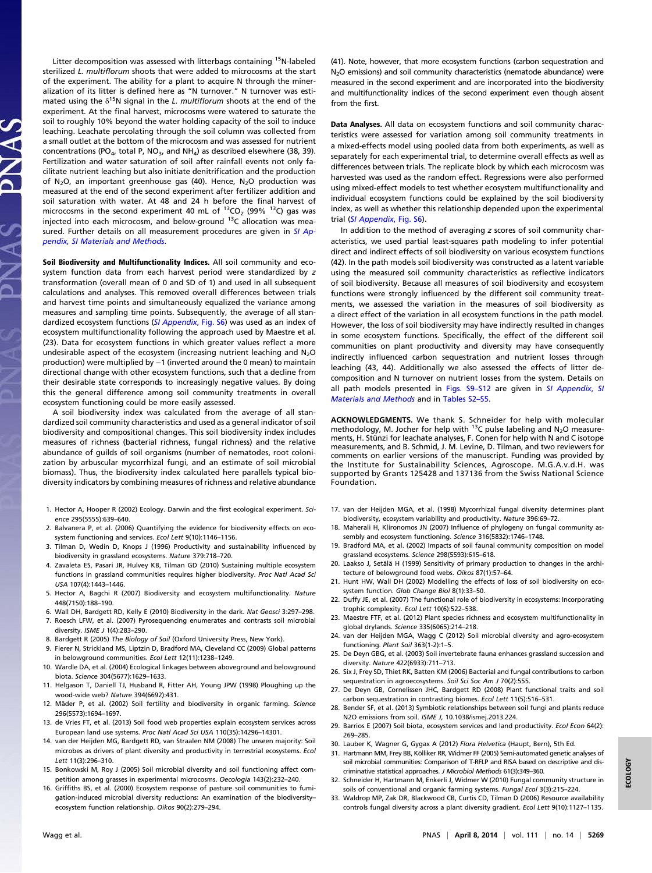Litter decomposition was assessed with litterbags containing <sup>15</sup>N-labeled sterilized L. multiflorum shoots that were added to microcosms at the start of the experiment. The ability for a plant to acquire N through the mineralization of its litter is defined here as "N turnover." N turnover was estimated using the  $\delta^{15}N$  signal in the L. multiflorum shoots at the end of the experiment. At the final harvest, microcosms were watered to saturate the soil to roughly 10% beyond the water holding capacity of the soil to induce leaching. Leachate percolating through the soil column was collected from a small outlet at the bottom of the microcosm and was assessed for nutrient concentrations (PO<sub>4</sub>, total P, NO<sub>3</sub>, and NH<sub>4</sub>) as described elsewhere (38, 39). Fertilization and water saturation of soil after rainfall events not only facilitate nutrient leaching but also initiate denitrification and the production of N<sub>2</sub>O, an important greenhouse gas (40). Hence, N<sub>2</sub>O production was measured at the end of the second experiment after fertilizer addition and soil saturation with water. At 48 and 24 h before the final harvest of microcosms in the second experiment 40 mL of  $^{13}CO_2$  (99%  $^{13}C$ ) gas was injected into each microcosm, and below-ground  $^{13}$ C allocation was mea-sured. Further details on all measurement procedures are given in [SI Ap](http://www.pnas.org/lookup/suppl/doi:10.1073/pnas.1320054111/-/DCSupplemental/sapp.pdf)[pendix, SI Materials and Methods](http://www.pnas.org/lookup/suppl/doi:10.1073/pnas.1320054111/-/DCSupplemental/sapp.pdf).

Soil Biodiversity and Multifunctionality Indices. All soil community and ecosystem function data from each harvest period were standardized by z transformation (overall mean of 0 and SD of 1) and used in all subsequent calculations and analyses. This removed overall differences between trials and harvest time points and simultaneously equalized the variance among measures and sampling time points. Subsequently, the average of all stan-dardized ecosystem functions ([SI Appendix](http://www.pnas.org/lookup/suppl/doi:10.1073/pnas.1320054111/-/DCSupplemental/sapp.pdf), Fig. S6) was used as an index of ecosystem multifunctionality following the approach used by Maestre et al. (23). Data for ecosystem functions in which greater values reflect a more undesirable aspect of the ecosystem (increasing nutrient leaching and  $N_2O$ production) were multiplied by −1 (inverted around the 0 mean) to maintain directional change with other ecosystem functions, such that a decline from their desirable state corresponds to increasingly negative values. By doing this the general difference among soil community treatments in overall ecosystem functioning could be more easily assessed.

A soil biodiversity index was calculated from the average of all standardized soil community characteristics and used as a general indicator of soil biodiversity and compositional changes. This soil biodiversity index includes measures of richness (bacterial richness, fungal richness) and the relative abundance of guilds of soil organisms (number of nematodes, root colonization by arbuscular mycorrhizal fungi, and an estimate of soil microbial biomass). Thus, the biodiversity index calculated here parallels typical biodiversity indicators by combining measures of richness and relative abundance

- 1. Hector A, Hooper R (2002) Ecology. Darwin and the first ecological experiment. Science 295(5555):639–640.
- 2. Balvanera P, et al. (2006) Quantifying the evidence for biodiversity effects on ecosystem functioning and services. Ecol Lett 9(10):1146–1156.
- 3. Tilman D, Wedin D, Knops J (1996) Productivity and sustainability influenced by biodiversity in grassland ecosystems. Nature 379:718–720.
- 4. Zavaleta ES, Pasari JR, Hulvey KB, Tilman GD (2010) Sustaining multiple ecosystem functions in grassland communities requires higher biodiversity. Proc Natl Acad Sci USA 107(4):1443–1446.
- 5. Hector A, Bagchi R (2007) Biodiversity and ecosystem multifunctionality. Nature 448(7150):188–190.
- 6. Wall DH, Bardgett RD, Kelly E (2010) Biodiversity in the dark. Nat Geosci 3:297–298. 7. Roesch LFW, et al. (2007) Pyrosequencing enumerates and contrasts soil microbial diversity. ISME J 1(4):283–290.
- 8. Bardgett R (2005) The Biology of Soil (Oxford University Press, New York).
- 9. Fierer N, Strickland MS, Liptzin D, Bradford MA, Cleveland CC (2009) Global patterns
- in belowground communities. Ecol Lett 12(11):1238–1249. 10. Wardle DA, et al. (2004) Ecological linkages between aboveground and belowground
- biota. Science 304(5677):1629–1633.
- 11. Helgason T, Daniell TJ, Husband R, Fitter AH, Young JPW (1998) Ploughing up the wood-wide web? Nature 394(6692):431.
- 12. Mäder P, et al. (2002) Soil fertility and biodiversity in organic farming. Science 296(5573):1694–1697.
- 13. de Vries FT, et al. (2013) Soil food web properties explain ecosystem services across European land use systems. Proc Natl Acad Sci USA 110(35):14296–14301.
- 14. van der Heijden MG, Bardgett RD, van Straalen NM (2008) The unseen majority: Soil microbes as drivers of plant diversity and productivity in terrestrial ecosystems. Ecol Lett 11(3):296–310.
- 15. Bonkowski M, Roy J (2005) Soil microbial diversity and soil functioning affect competition among grasses in experimental microcosms. Oecologia 143(2):232–240.
- 16. Griffiths BS, et al. (2000) Ecosystem response of pasture soil communities to fumigation-induced microbial diversity reductions: An examination of the biodiversity– ecosystem function relationship. Oikos 90(2):279–294.

(41). Note, however, that more ecosystem functions (carbon sequestration and N<sub>2</sub>O emissions) and soil community characteristics (nematode abundance) were measured in the second experiment and are incorporated into the biodiversity and multifunctionality indices of the second experiment even though absent from the first.

Data Analyses. All data on ecosystem functions and soil community characteristics were assessed for variation among soil community treatments in a mixed-effects model using pooled data from both experiments, as well as separately for each experimental trial, to determine overall effects as well as differences between trials. The replicate block by which each microcosm was harvested was used as the random effect. Regressions were also performed using mixed-effect models to test whether ecosystem multifunctionality and individual ecosystem functions could be explained by the soil biodiversity index, as well as whether this relationship depended upon the experimental trial ([SI Appendix](http://www.pnas.org/lookup/suppl/doi:10.1073/pnas.1320054111/-/DCSupplemental/sapp.pdf), Fig. S6).

In addition to the method of averaging z scores of soil community characteristics, we used partial least-squares path modeling to infer potential direct and indirect effects of soil biodiversity on various ecosystem functions (42). In the path models soil biodiversity was constructed as a latent variable using the measured soil community characteristics as reflective indicators of soil biodiversity. Because all measures of soil biodiversity and ecosystem functions were strongly influenced by the different soil community treatments, we assessed the variation in the measures of soil biodiversity as a direct effect of the variation in all ecosystem functions in the path model. However, the loss of soil biodiversity may have indirectly resulted in changes in some ecosystem functions. Specifically, the effect of the different soil communities on plant productivity and diversity may have consequently indirectly influenced carbon sequestration and nutrient losses through leaching (43, 44). Additionally we also assessed the effects of litter decomposition and N turnover on nutrient losses from the system. Details on all path models presented in [Figs. S9](http://www.pnas.org/lookup/suppl/doi:10.1073/pnas.1320054111/-/DCSupplemental/sapp.pdf)-[S12](http://www.pnas.org/lookup/suppl/doi:10.1073/pnas.1320054111/-/DCSupplemental/sapp.pdf) are given in [SI Appendix](http://www.pnas.org/lookup/suppl/doi:10.1073/pnas.1320054111/-/DCSupplemental/sapp.pdf), SI [Materials and Methods](http://www.pnas.org/lookup/suppl/doi:10.1073/pnas.1320054111/-/DCSupplemental/sapp.pdf) and in [Tables S2](http://www.pnas.org/lookup/suppl/doi:10.1073/pnas.1320054111/-/DCSupplemental/sapp.pdf)–[S5.](http://www.pnas.org/lookup/suppl/doi:10.1073/pnas.1320054111/-/DCSupplemental/sapp.pdf)

ACKNOWLEDGMENTS. We thank S. Schneider for help with molecular methodology, M. Jocher for help with 13C pulse labeling and N2O measurements, H. Stünzi for leachate analyses, F. Conen for help with N and C isotope measurements, and B. Schmid, J. M. Levine, D. Tilman, and two reviewers for comments on earlier versions of the manuscript. Funding was provided by the Institute for Sustainability Sciences, Agroscope. M.G.A.v.d.H. was supported by Grants 125428 and 137136 from the Swiss National Science Foundation.

- 17. van der Heijden MGA, et al. (1998) Mycorrhizal fungal diversity determines plant biodiversity, ecosystem variability and productivity. Nature 396:69–72.
- 18. Maherali H, Klironomos JN (2007) Influence of phylogeny on fungal community assembly and ecosystem functioning. Science 316(5832):1746–1748.
- 19. Bradford MA, et al. (2002) Impacts of soil faunal community composition on model grassland ecosystems. Science 298(5593):615–618.
- 20. Laakso J, Setälä H (1999) Sensitivity of primary production to changes in the architecture of belowground food webs. Oikos 87(1):57–64.
- 21. Hunt HW, Wall DH (2002) Modelling the effects of loss of soil biodiversity on ecosystem function. Glob Change Biol 8(1):33–50.
- 22. Duffy JE, et al. (2007) The functional role of biodiversity in ecosystems: Incorporating trophic complexity. Ecol Lett 10(6):522–538.
- 23. Maestre FTF, et al. (2012) Plant species richness and ecosystem multifunctionality in global drylands. Science 335(6065):214–218.
- 24. van der Heijden MGA, Wagg C (2012) Soil microbial diversity and agro-ecosystem functioning. Plant Soil 363(1-2):1–5.
- 25. De Deyn GBG, et al. (2003) Soil invertebrate fauna enhances grassland succession and diversity. Nature 422(6933):711–713.
- 26. Six J, Frey SD, Thiet RK, Batten KM (2006) Bacterial and fungal contributions to carbon sequestration in agroecosystems. Soil Sci Soc Am J 70(2):555.
- 27. De Deyn GB, Cornelissen JHC, Bardgett RD (2008) Plant functional traits and soil carbon sequestration in contrasting biomes. Ecol Lett 11(5):516–531.
- 28. Bender SF, et al. (2013) Symbiotic relationships between soil fungi and plants reduce N2O emissions from soil. ISME J, 10.1038/ismej.2013.224.
- 29. Barrios E (2007) Soil biota, ecosystem services and land productivity. Ecol Econ 64(2): 269–285.
- 30. Lauber K, Wagner G, Gygax A (2012) Flora Helvetica (Haupt, Bern), 5th Ed.
- 31. Hartmann MM, Frey BB, Kölliker RR, Widmer FF (2005) Semi-automated genetic analyses of soil microbial communities: Comparison of T-RFLP and RISA based on descriptive and discriminative statistical approaches. J Microbiol Methods 61(3):349–360.
- 32. Schneider H, Hartmann M, Enkerli J, Widmer W (2010) Fungal community structure in soils of conventional and organic farming systems. Fungal Ecol 3(3):215–224.
- 33. Waldrop MP, Zak DR, Blackwood CB, Curtis CD, Tilman D (2006) Resource availability controls fungal diversity across a plant diversity gradient. Ecol Lett 9(10):1127–1135.